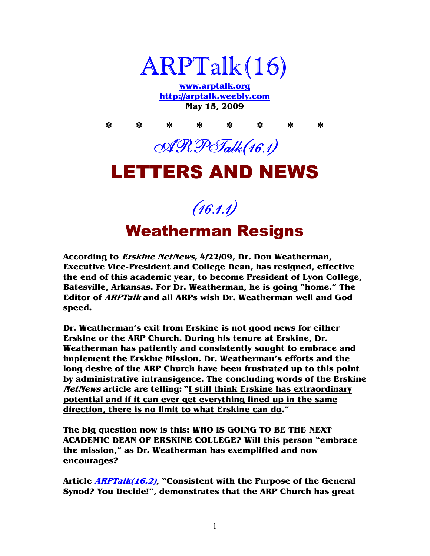

**www.arptalk.org http://arptalk.weebly.com May 15, 2009** 

**\* \* \* \* \* \* \* \***  ARPTalk(16.1) LETTERS AND NEWS

(16.1.1)

Weatherman Resigns

**According to Erskine NetNews, 4/22/09, Dr. Don Weatherman, Executive Vice-President and College Dean, has resigned, effective the end of this academic year, to become President of Lyon College, Batesville, Arkansas. For Dr. Weatherman, he is going "home." The Editor of ARPTalk and all ARPs wish Dr. Weatherman well and God speed.** 

**Dr. Weatherman's exit from Erskine is not good news for either Erskine or the ARP Church. During his tenure at Erskine, Dr. Weatherman has patiently and consistently sought to embrace and implement the Erskine Mission. Dr. Weatherman's efforts and the long desire of the ARP Church have been frustrated up to this point by administrative intransigence. The concluding words of the Erskine NetNews article are telling: "I still think Erskine has extraordinary potential and if it can ever get everything lined up in the same direction, there is no limit to what Erskine can do."** 

**The big question now is this: WHO IS GOING TO BE THE NEXT ACADEMIC DEAN OF ERSKINE COLLEGE? Will this person "embrace the mission," as Dr. Weatherman has exemplified and now encourages?** 

**Article ARPTalk(16.2), "Consistent with the Purpose of the General Synod? You Decide!", demonstrates that the ARP Church has great**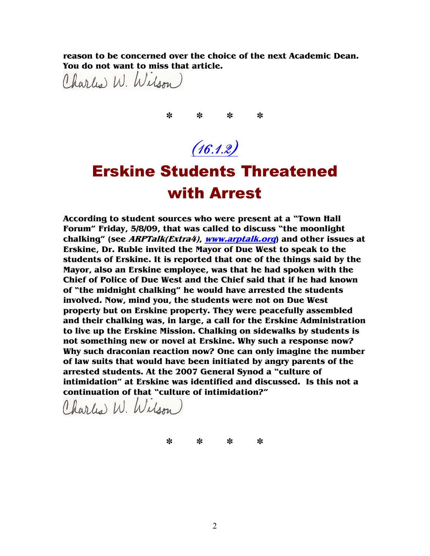**reason to be concerned over the choice of the next Academic Dean. You do not want to miss that article.** 

Charles W. Wilson)

**\* \* \* \***

# $(16.1.2)$

## Erskine Students Threatened with Arrest

**According to student sources who were present at a "Town Hall Forum" Friday, 5/8/09, that was called to discuss "the moonlight chalking" (see ARPTalk(Extra4), www.arptalk.org) and other issues at Erskine, Dr. Ruble invited the Mayor of Due West to speak to the students of Erskine. It is reported that one of the things said by the Mayor, also an Erskine employee, was that he had spoken with the Chief of Police of Due West and the Chief said that if he had known of "the midnight chalking" he would have arrested the students involved. Now, mind you, the students were not on Due West property but on Erskine property. They were peacefully assembled and their chalking was, in large, a call for the Erskine Administration to live up the Erskine Mission. Chalking on sidewalks by students is not something new or novel at Erskine. Why such a response now? Why such draconian reaction now? One can only imagine the number of law suits that would have been initiated by angry parents of the arrested students. At the 2007 General Synod a "culture of intimidation" at Erskine was identified and discussed. Is this not a continuation of that "culture of intimidation?"** 

Charles W. Wilson

**\* \* \* \***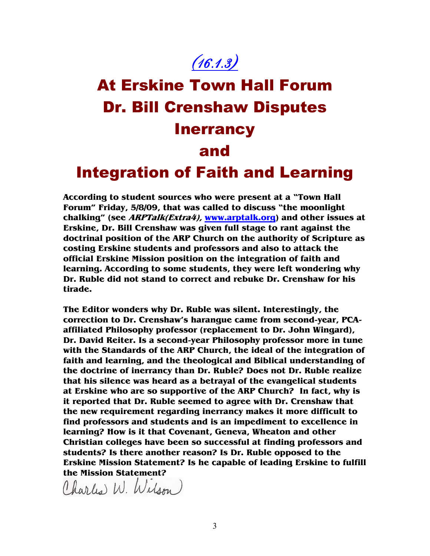## $(16.1.3)$

# At Erskine Town Hall Forum Dr. Bill Crenshaw Disputes **Inerrancy** and Integration of Faith and Learning

**According to student sources who were present at a "Town Hall Forum" Friday, 5/8/09, that was called to discuss "the moonlight chalking" (see ARPTalk(Extra4), www.arptalk.org) and other issues at Erskine, Dr. Bill Crenshaw was given full stage to rant against the doctrinal position of the ARP Church on the authority of Scripture as costing Erskine students and professors and also to attack the official Erskine Mission position on the integration of faith and learning. According to some students, they were left wondering why Dr. Ruble did not stand to correct and rebuke Dr. Crenshaw for his tirade.** 

**The Editor wonders why Dr. Ruble was silent. Interestingly, the correction to Dr. Crenshaw's harangue came from second-year, PCAaffiliated Philosophy professor (replacement to Dr. John Wingard), Dr. David Reiter. Is a second-year Philosophy professor more in tune with the Standards of the ARP Church, the ideal of the integration of faith and learning, and the theological and Biblical understanding of the doctrine of inerrancy than Dr. Ruble? Does not Dr. Ruble realize that his silence was heard as a betrayal of the evangelical students at Erskine who are so supportive of the ARP Church? In fact, why is it reported that Dr. Ruble seemed to agree with Dr. Crenshaw that the new requirement regarding inerrancy makes it more difficult to find professors and students and is an impediment to excellence in learning? How is it that Covenant, Geneva, Wheaton and other Christian colleges have been so successful at finding professors and students? Is there another reason? Is Dr. Ruble opposed to the Erskine Mission Statement? Is he capable of leading Erskine to fulfill the Mission Statement?** 

Charles W. Wilson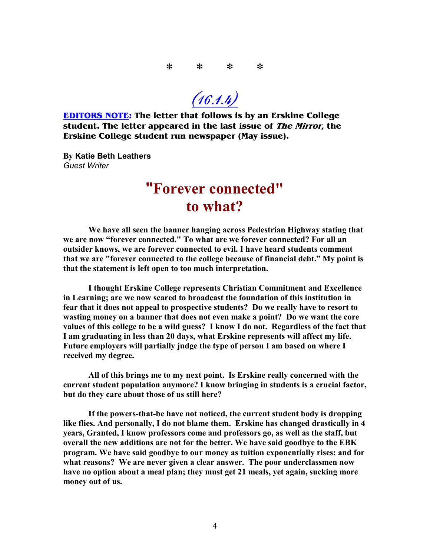**\* \* \* \***

 $(16.1.4)$ 

**EDITORS NOTE: The letter that follows is by an Erskine College student. The letter appeared in the last issue of The Mirror, the Erskine College student run newspaper (May issue).** 

**By Katie Beth Leathers**  *Guest Writer* 

### **"Forever connected" to what?**

**We have all seen the banner hanging across Pedestrian Highway stating that we are now "forever connected." To what are we forever connected? For all an outsider knows, we are forever connected to evil. I have heard students comment that we are "forever connected to the college because of financial debt." My point is that the statement is left open to too much interpretation.** 

**I thought Erskine College represents Christian Commitment and Excellence in Learning; are we now scared to broadcast the foundation of this institution in fear that it does not appeal to prospective students? Do we really have to resort to wasting money on a banner that does not even make a point? Do we want the core values of this college to be a wild guess? I know I do not. Regardless of the fact that I am graduating in less than 20 days, what Erskine represents will affect my life. Future employers will partially judge the type of person I am based on where I received my degree.** 

**All of this brings me to my next point. Is Erskine really concerned with the current student population anymore? I know bringing in students is a crucial factor, but do they care about those of us still here?** 

**If the powers-that-be have not noticed, the current student body is dropping like flies. And personally, I do not blame them. Erskine has changed drastically in 4 years, Granted, I know professors come and professors go, as well as the staff, but overall the new additions are not for the better. We have said goodbye to the EBK program. We have said goodbye to our money as tuition exponentially rises; and for what reasons? We are never given a clear answer. The poor underclassmen now have no option about a meal plan; they must get 21 meals, yet again, sucking more money out of us.**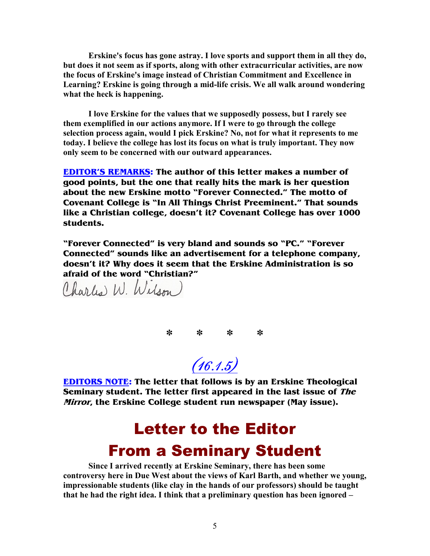**Erskine's focus has gone astray. I love sports and support them in all they do, but does it not seem as if sports, along with other extracurricular activities, are now the focus of Erskine's image instead of Christian Commitment and Excellence in Learning? Erskine is going through a mid-life crisis. We all walk around wondering what the heck is happening.** 

**I love Erskine for the values that we supposedly possess, but I rarely see them exemplified in our actions anymore. If I were to go through the college**  selection process again, would I pick Erskine? No, not for what it represents to me **today. I believe the college has lost its focus on what is truly important. They now only seem to be concerned with our outward appearances.** 

**EDITOR'S REMARKS: The author of this letter makes a number of good points, but the one that really hits the mark is her question about the new Erskine motto "Forever Connected." The motto of Covenant College is "In All Things Christ Preeminent." That sounds like a Christian college, doesn't it? Covenant College has over 1000 students.** 

**"Forever Connected" is very bland and sounds so "PC." "Forever Connected" sounds like an advertisement for a telephone company, doesn't it? Why does it seem that the Erskine Administration is so afraid of the word "Christian?"** 

Charles W. Wilson

**\* \* \* \***

 $(16.1.5)$ 

**EDITORS NOTE: The letter that follows is by an Erskine Theological Seminary student. The letter first appeared in the last issue of The Mirror, the Erskine College student run newspaper (May issue).** 

## Letter to the Editor From a Seminary Student

**Since I arrived recently at Erskine Seminary, there has been some controversy here in Due West about the views of Karl Barth, and whether we young, impressionable students (like clay in the hands of our professors) should be taught that he had the right idea. I think that a preliminary question has been ignored –**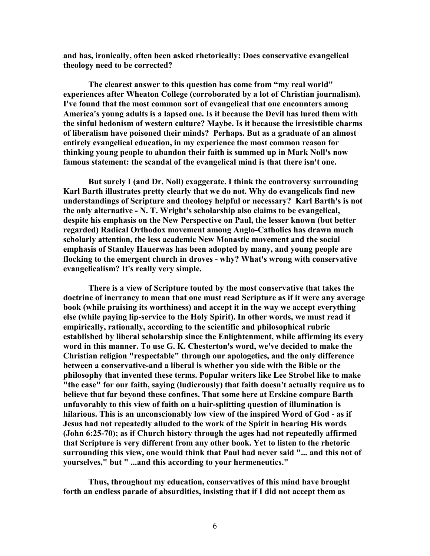**and has, ironically, often been asked rhetorically: Does conservative evangelical theology need to be corrected?** 

**The clearest answer to this question has come from "my real world" experiences after Wheaton College (corroborated by a lot of Christian journalism). I've found that the most common sort of evangelical that one encounters among America's young adults is a lapsed one. Is it because the Devil has lured them with the sinful hedonism of western culture? Maybe. Is it because the irresistible charms of liberalism have poisoned their minds? Perhaps. But as a graduate of an almost entirely evangelical education, in my experience the most common reason for thinking young people to abandon their faith is summed up in Mark 7oll's now famous statement: the scandal of the evangelical mind is that there isn't one.** 

But surely I (and Dr. Noll) exaggerate. I think the controversy surrounding **Karl Barth illustrates pretty clearly that we do not. Why do evangelicals find new understandings of Scripture and theology helpful or necessary? Karl Barth's is not the only alternative - 7. T. Wright's scholarship also claims to be evangelical,**  despite his emphasis on the New Perspective on Paul, the lesser known (but better **regarded) Radical Orthodox movement among Anglo-Catholics has drawn much**  scholarly attention, the less academic New Monastic movement and the social **emphasis of Stanley Hauerwas has been adopted by many, and young people are flocking to the emergent church in droves - why? What's wrong with conservative evangelicalism? It's really very simple.** 

**There is a view of Scripture touted by the most conservative that takes the doctrine of inerrancy to mean that one must read Scripture as if it were any average book (while praising its worthiness) and accept it in the way we accept everything else (while paying lip-service to the Holy Spirit). In other words, we must read it empirically, rationally, according to the scientific and philosophical rubric established by liberal scholarship since the Enlightenment, while affirming its every word in this manner. To use G. K. Chesterton's word, we've decided to make the Christian religion "respectable" through our apologetics, and the only difference between a conservative-and a liberal is whether you side with the Bible or the philosophy that invented these terms. Popular writers like Lee Strobel like to make "the case" for our faith, saying (ludicrously) that faith doesn't actually require us to believe that far beyond these confines. That some here at Erskine compare Barth unfavorably to this view of faith on a hair-splitting question of illumination is hilarious. This is an unconscionably low view of the inspired Word of God - as if Jesus had not repeatedly alluded to the work of the Spirit in hearing His words (John 6:25-70); as if Church history through the ages had not repeatedly affirmed that Scripture is very different from any other book. Yet to listen to the rhetoric surrounding this view, one would think that Paul had never said "... and this not of yourselves," but " ...and this according to your hermeneutics."** 

**Thus, throughout my education, conservatives of this mind have brought forth an endless parade of absurdities, insisting that if I did not accept them as**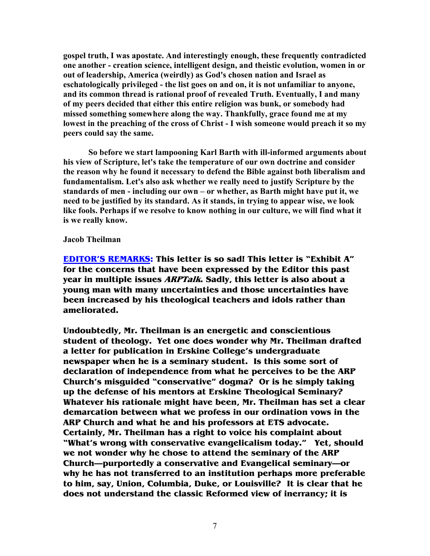**gospel truth, I was apostate. And interestingly enough, these frequently contradicted one another - creation science, intelligent design, and theistic evolution, women in or out of leadership, America (weirdly) as God's chosen nation and Israel as eschatologically privileged - the list goes on and on, it is not unfamiliar to anyone, and its common thread is rational proof of revealed Truth. Eventually, I and many of my peers decided that either this entire religion was bunk, or somebody had missed something somewhere along the way. Thankfully, grace found me at my lowest in the preaching of the cross of Christ - I wish someone would preach it so my peers could say the same.** 

**So before we start lampooning Karl Barth with ill-informed arguments about his view of Scripture, let's take the temperature of our own doctrine and consider the reason why he found it necessary to defend the Bible against both liberalism and fundamentalism. Let's also ask whether we really need to justify Scripture by the standards of men - including our own – or whether, as Barth might have put it, we need to be justified by its standard. As it stands, in trying to appear wise, we look like fools. Perhaps if we resolve to know nothing in our culture, we will find what it is we really know.** 

#### **Jacob Theilman**

**EDITOR'S REMARKS: This letter is so sad! This letter is "Exhibit A" for the concerns that have been expressed by the Editor this past year in multiple issues ARPTalk. Sadly, this letter is also about a young man with many uncertainties and those uncertainties have been increased by his theological teachers and idols rather than ameliorated.** 

**Undoubtedly, Mr. Theilman is an energetic and conscientious student of theology. Yet one does wonder why Mr. Theilman drafted a letter for publication in Erskine College's undergraduate newspaper when he is a seminary student. Is this some sort of declaration of independence from what he perceives to be the ARP Church's misguided "conservative" dogma? Or is he simply taking up the defense of his mentors at Erskine Theological Seminary? Whatever his rationale might have been, Mr. Theilman has set a clear demarcation between what we profess in our ordination vows in the ARP Church and what he and his professors at ETS advocate. Certainly, Mr. Theilman has a right to voice his complaint about "What's wrong with conservative evangelicalism today." Yet, should we not wonder why he chose to attend the seminary of the ARP Church—purportedly a conservative and Evangelical seminary—or why he has not transferred to an institution perhaps more preferable to him, say, Union, Columbia, Duke, or Louisville? It is clear that he does not understand the classic Reformed view of inerrancy; it is**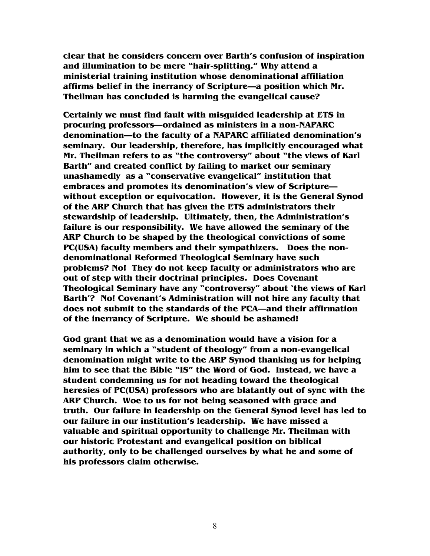**clear that he considers concern over Barth's confusion of inspiration and illumination to be mere "hair-splitting." Why attend a ministerial training institution whose denominational affiliation affirms belief in the inerrancy of Scripture—a position which Mr. Theilman has concluded is harming the evangelical cause?** 

**Certainly we must find fault with misguided leadership at ETS in procuring professors—ordained as ministers in a non-NAPARC denomination—to the faculty of a NAPARC affiliated denomination's seminary. Our leadership, therefore, has implicitly encouraged what Mr. Theilman refers to as "the controversy" about "the views of Karl Barth" and created conflict by failing to market our seminary unashamedly as a "conservative evangelical" institution that embraces and promotes its denomination's view of Scripture without exception or equivocation. However, it is the General Synod of the ARP Church that has given the ETS administrators their stewardship of leadership. Ultimately, then, the Administration's failure is our responsibility. We have allowed the seminary of the ARP Church to be shaped by the theological convictions of some PC(USA) faculty members and their sympathizers. Does the nondenominational Reformed Theological Seminary have such problems? No! They do not keep faculty or administrators who are out of step with their doctrinal principles. Does Covenant Theological Seminary have any "controversy" about 'the views of Karl Barth'? No! Covenant's Administration will not hire any faculty that does not submit to the standards of the PCA—and their affirmation of the inerrancy of Scripture. We should be ashamed!** 

**God grant that we as a denomination would have a vision for a seminary in which a "student of theology" from a non-evangelical denomination might write to the ARP Synod thanking us for helping him to see that the Bible "IS" the Word of God. Instead, we have a student condemning us for not heading toward the theological heresies of PC(USA) professors who are blatantly out of sync with the ARP Church. Woe to us for not being seasoned with grace and truth. Our failure in leadership on the General Synod level has led to our failure in our institution's leadership. We have missed a valuable and spiritual opportunity to challenge Mr. Theilman with our historic Protestant and evangelical position on biblical authority, only to be challenged ourselves by what he and some of his professors claim otherwise.**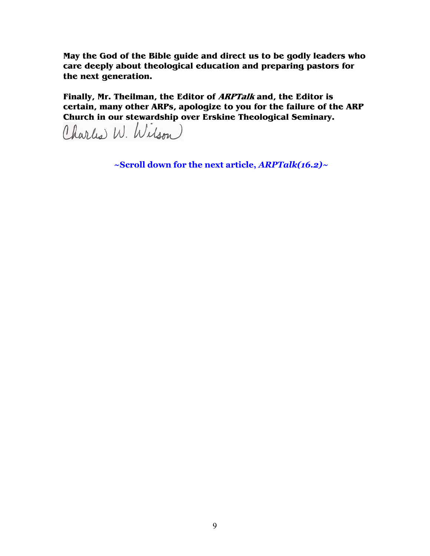**May the God of the Bible guide and direct us to be godly leaders who care deeply about theological education and preparing pastors for the next generation.** 

**Finally, Mr. Theilman, the Editor of ARPTalk and, the Editor is certain, many other ARPs, apologize to you for the failure of the ARP Church in our stewardship over Erskine Theological Seminary.**

Charles W. Wilson

**~Scroll down for the next article,** *ARPTalk(16.2)~*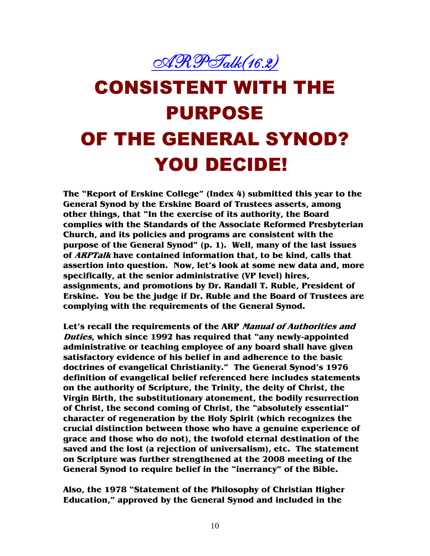

# CONSISTENT WITH THE PURPOSE OF THE GENERAL SYNOD? YOU DECIDE!

**The "Report of Erskine College" (Index 4) submitted this year to the General Synod by the Erskine Board of Trustees asserts, among other things, that "In the exercise of its authority, the Board complies with the Standards of the Associate Reformed Presbyterian Church, and its policies and programs are consistent with the purpose of the General Synod" (p. 1). Well, many of the last issues of ARPTalk have contained information that, to be kind, calls that assertion into question. Now, let's look at some new data and, more specifically, at the senior administrative (VP level) hires, assignments, and promotions by Dr. Randall T. Ruble, President of Erskine. You be the judge if Dr. Ruble and the Board of Trustees are complying with the requirements of the General Synod.** 

**Let's recall the requirements of the ARP Manual of Authorities and Duties, which since 1992 has required that "any newly-appointed administrative or teaching employee of any board shall have given satisfactory evidence of his belief in and adherence to the basic doctrines of evangelical Christianity." The General Synod's 1976 definition of evangelical belief referenced here includes statements on the authority of Scripture, the Trinity, the deity of Christ, the Virgin Birth, the substitutionary atonement, the bodily resurrection of Christ, the second coming of Christ, the "absolutely essential" character of regeneration by the Holy Spirit (which recognizes the crucial distinction between those who have a genuine experience of grace and those who do not), the twofold eternal destination of the saved and the lost (a rejection of universalism), etc. The statement on Scripture was further strengthened at the 2008 meeting of the General Synod to require belief in the "inerrancy" of the Bible.** 

**Also, the 1978 "Statement of the Philosophy of Christian Higher Education," approved by the General Synod and included in the**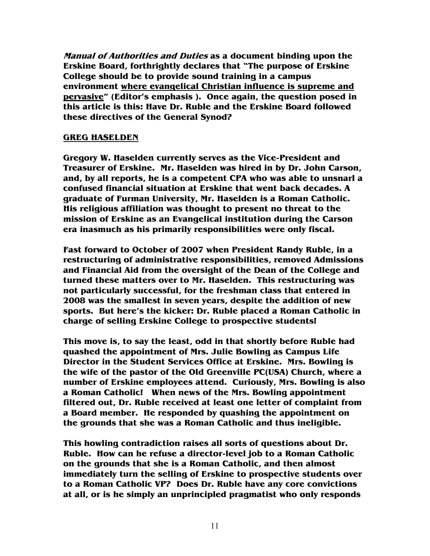**Manual of Authorities and Duties as a document binding upon the Erskine Board, forthrightly declares that "The purpose of Erskine College should be to provide sound training in a campus environment where evangelical Christian influence is supreme and pervasive" (Editor's emphasis ). Once again, the question posed in this article is this: Have Dr. Ruble and the Erskine Board followed these directives of the General Synod?** 

### **GREG HASELDEN**

**Gregory W. Haselden currently serves as the Vice-President and Treasurer of Erskine. Mr. Haselden was hired in by Dr. John Carson, and, by all reports, he is a competent CPA who was able to unsnarl a confused financial situation at Erskine that went back decades. A graduate of Furman University, Mr. Haselden is a Roman Catholic. His religious affiliation was thought to present no threat to the mission of Erskine as an Evangelical institution during the Carson era inasmuch as his primarily responsibilities were only fiscal.** 

**Fast forward to October of 2007 when President Randy Ruble, in a restructuring of administrative responsibilities, removed Admissions and Financial Aid from the oversight of the Dean of the College and turned these matters over to Mr. Haselden. This restructuring was not particularly successful, for the freshman class that entered in 2008 was the smallest in seven years, despite the addition of new sports. But here's the kicker: Dr. Ruble placed a Roman Catholic in charge of selling Erskine College to prospective students!** 

**This move is, to say the least, odd in that shortly before Ruble had quashed the appointment of Mrs. Julie Bowling as Campus Life Director in the Student Services Office at Erskine. Mrs. Bowling is the wife of the pastor of the Old Greenville PC(USA) Church, where a number of Erskine employees attend. Curiously, Mrs. Bowling is also a Roman Catholic! When news of the Mrs. Bowling appointment filtered out, Dr. Ruble received at least one letter of complaint from a Board member. He responded by quashing the appointment on the grounds that she was a Roman Catholic and thus ineligible.** 

**This howling contradiction raises all sorts of questions about Dr. Ruble. How can he refuse a director-level job to a Roman Catholic on the grounds that she is a Roman Catholic, and then almost immediately turn the selling of Erskine to prospective students over to a Roman Catholic VP? Does Dr. Ruble have any core convictions at all, or is he simply an unprincipled pragmatist who only responds**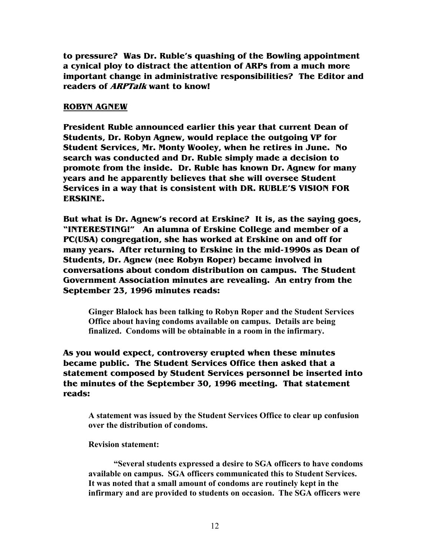**to pressure? Was Dr. Ruble's quashing of the Bowling appointment a cynical ploy to distract the attention of ARPs from a much more important change in administrative responsibilities? The Editor and readers of ARPTalk want to know!** 

### **ROBYN AGNEW**

**President Ruble announced earlier this year that current Dean of Students, Dr. Robyn Agnew, would replace the outgoing VP for Student Services, Mr. Monty Wooley, when he retires in June. No search was conducted and Dr. Ruble simply made a decision to promote from the inside. Dr. Ruble has known Dr. Agnew for many years and he apparently believes that she will oversee Student Services in a way that is consistent with DR. RUBLE'S VISION FOR ERSKINE.** 

**But what is Dr. Agnew's record at Erskine? It is, as the saying goes, "INTERESTING!" An alumna of Erskine College and member of a PC(USA) congregation, she has worked at Erskine on and off for many years. After returning to Erskine in the mid-1990s as Dean of Students, Dr. Agnew (nee Robyn Roper) became involved in conversations about condom distribution on campus. The Student Government Association minutes are revealing. An entry from the September 23, 1996 minutes reads:** 

**Ginger Blalock has been talking to Robyn Roper and the Student Services Office about having condoms available on campus. Details are being finalized. Condoms will be obtainable in a room in the infirmary.** 

**As you would expect, controversy erupted when these minutes became public. The Student Services Office then asked that a statement composed by Student Services personnel be inserted into the minutes of the September 30, 1996 meeting. That statement reads:** 

**A statement was issued by the Student Services Office to clear up confusion over the distribution of condoms.** 

### **Revision statement:**

 **"Several students expressed a desire to SGA officers to have condoms available on campus. SGA officers communicated this to Student Services. It was noted that a small amount of condoms are routinely kept in the infirmary and are provided to students on occasion. The SGA officers were**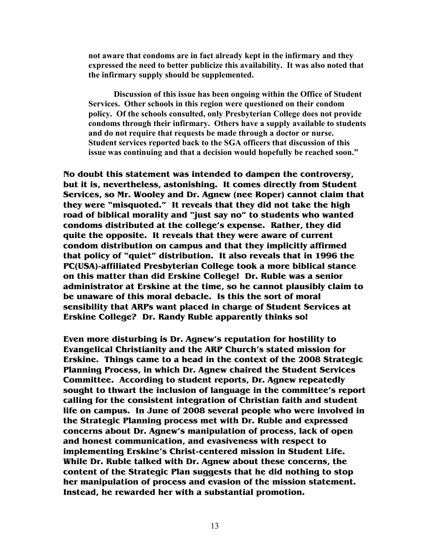**not aware that condoms are in fact already kept in the infirmary and they expressed the need to better publicize this availability. It was also noted that the infirmary supply should be supplemented.** 

 **Discussion of this issue has been ongoing within the Office of Student Services. Other schools in this region were questioned on their condom policy. Of the schools consulted, only Presbyterian College does not provide condoms through their infirmary. Others have a supply available to students and do not require that requests be made through a doctor or nurse. Student services reported back to the SGA officers that discussion of this issue was continuing and that a decision would hopefully be reached soon."**

**No doubt this statement was intended to dampen the controversy, but it is, nevertheless, astonishing. It comes directly from Student Services, so Mr. Wooley and Dr. Agnew (nee Roper) cannot claim that they were "misquoted." It reveals that they did not take the high road of biblical morality and "just say no" to students who wanted condoms distributed at the college's expense. Rather, they did quite the opposite. It reveals that they were aware of current condom distribution on campus and that they implicitly affirmed that policy of "quiet" distribution. It also reveals that in 1996 the PC(USA)-affiliated Presbyterian College took a more biblical stance on this matter than did Erskine College! Dr. Ruble was a senior administrator at Erskine at the time, so he cannot plausibly claim to be unaware of this moral debacle. Is this the sort of moral sensibility that ARPs want placed in charge of Student Services at Erskine College? Dr. Randy Ruble apparently thinks so!** 

**Even more disturbing is Dr. Agnew's reputation for hostility to Evangelical Christianity and the ARP Church's stated mission for Erskine. Things came to a head in the context of the 2008 Strategic Planning Process, in which Dr. Agnew chaired the Student Services Committee. According to student reports, Dr. Agnew repeatedly sought to thwart the inclusion of language in the committee's report calling for the consistent integration of Christian faith and student life on campus. In June of 2008 several people who were involved in the Strategic Planning process met with Dr. Ruble and expressed concerns about Dr. Agnew's manipulation of process, lack of open and honest communication, and evasiveness with respect to implementing Erskine's Christ-centered mission in Student Life. While Dr. Ruble talked with Dr. Agnew about these concerns, the content of the Strategic Plan suggests that he did nothing to stop her manipulation of process and evasion of the mission statement. Instead, he rewarded her with a substantial promotion.**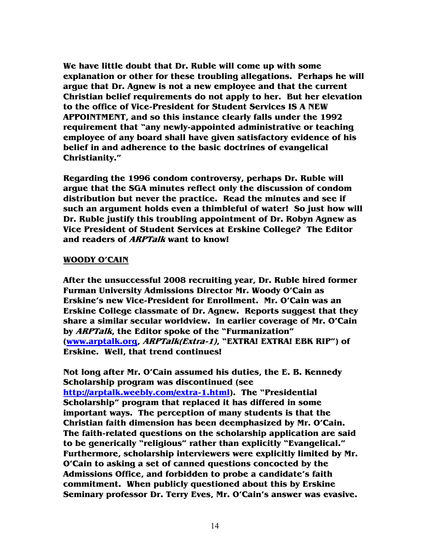**We have little doubt that Dr. Ruble will come up with some explanation or other for these troubling allegations. Perhaps he will argue that Dr. Agnew is not a new employee and that the current Christian belief requirements do not apply to her. But her elevation to the office of Vice-President for Student Services IS A NEW APPOINTMENT, and so this instance clearly falls under the 1992 requirement that "any newly-appointed administrative or teaching employee of any board shall have given satisfactory evidence of his belief in and adherence to the basic doctrines of evangelical Christianity."** 

**Regarding the 1996 condom controversy, perhaps Dr. Ruble will argue that the SGA minutes reflect only the discussion of condom distribution but never the practice. Read the minutes and see if such an argument holds even a thimbleful of water! So just how will Dr. Ruble justify this troubling appointment of Dr. Robyn Agnew as Vice President of Student Services at Erskine College? The Editor and readers of ARPTalk want to know!** 

### **WOODY O'CAIN**

**After the unsuccessful 2008 recruiting year, Dr. Ruble hired former Furman University Admissions Director Mr. Woody O'Cain as Erskine's new Vice-President for Enrollment. Mr. O'Cain was an Erskine College classmate of Dr. Agnew. Reports suggest that they share a similar secular worldview. In earlier coverage of Mr. O'Cain by ARPTalk, the Editor spoke of the "Furmanization" (www.arptalk.org, ARPTalk(Extra-1), "EXTRA! EXTRA! EBK RIP") of Erskine. Well, that trend continues!** 

**Not long after Mr. O'Cain assumed his duties, the E. B. Kennedy Scholarship program was discontinued (see http://arptalk.weebly.com/extra-1.html). The "Presidential Scholarship" program that replaced it has differed in some important ways. The perception of many students is that the Christian faith dimension has been deemphasized by Mr. O'Cain. The faith-related questions on the scholarship application are said to be generically "religious" rather than explicitly "Evangelical." Furthermore, scholarship interviewers were explicitly limited by Mr. O'Cain to asking a set of canned questions concocted by the Admissions Office, and forbidden to probe a candidate's faith commitment. When publicly questioned about this by Erskine Seminary professor Dr. Terry Eves, Mr. O'Cain's answer was evasive.**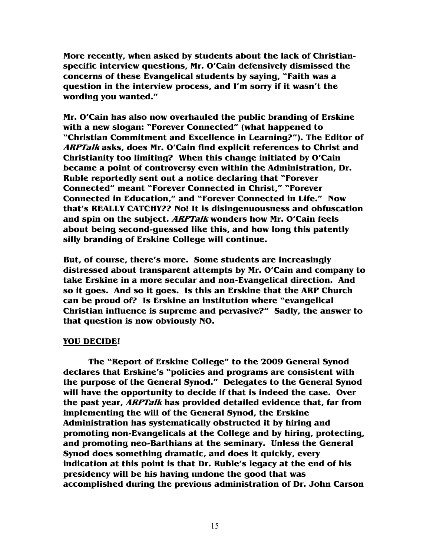**More recently, when asked by students about the lack of Christianspecific interview questions, Mr. O'Cain defensively dismissed the concerns of these Evangelical students by saying, "Faith was a question in the interview process, and I'm sorry if it wasn't the wording you wanted."** 

**Mr. O'Cain has also now overhauled the public branding of Erskine with a new slogan: "Forever Connected" (what happened to "Christian Commitment and Excellence in Learning?"). The Editor of ARPTalk asks, does Mr. O'Cain find explicit references to Christ and Christianity too limiting? When this change initiated by O'Cain became a point of controversy even within the Administration, Dr. Ruble reportedly sent out a notice declaring that "Forever Connected" meant "Forever Connected in Christ," "Forever Connected in Education," and "Forever Connected in Life." Now that's REALLY CATCHY?? No! It is disingenuousness and obfuscation and spin on the subject. ARPTalk wonders how Mr. O'Cain feels about being second-guessed like this, and how long this patently silly branding of Erskine College will continue.** 

**But, of course, there's more. Some students are increasingly distressed about transparent attempts by Mr. O'Cain and company to take Erskine in a more secular and non-Evangelical direction. And so it goes. And so it goes. Is this an Erskine that the ARP Church can be proud of? Is Erskine an institution where "evangelical Christian influence is supreme and pervasive?" Sadly, the answer to that question is now obviously NO.** 

### **YOU DECIDE!**

 **The "Report of Erskine College" to the 2009 General Synod declares that Erskine's "policies and programs are consistent with the purpose of the General Synod." Delegates to the General Synod will have the opportunity to decide if that is indeed the case. Over the past year, ARPTalk has provided detailed evidence that, far from implementing the will of the General Synod, the Erskine Administration has systematically obstructed it by hiring and promoting non-Evangelicals at the College and by hiring, protecting, and promoting neo-Barthians at the seminary. Unless the General Synod does something dramatic, and does it quickly, every indication at this point is that Dr. Ruble's legacy at the end of his presidency will be his having undone the good that was accomplished during the previous administration of Dr. John Carson**